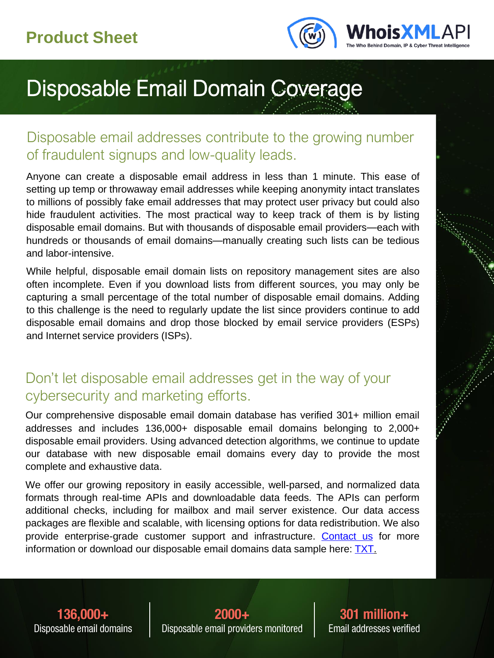

# Disposable Email Domain Coverage

#### Disposable email addresses contribute to the growing number of fraudulent signups and low-quality leads.

Anyone can create a disposable email address in less than 1 minute. This ease of setting up temp or throwaway email addresses while keeping anonymity intact translates to millions of possibly fake email addresses that may protect user privacy but could also hide fraudulent activities. The most practical way to keep track of them is by listing disposable email domains. But with thousands of disposable email providers—each with hundreds or thousands of email domains—manually creating such lists can be tedious and labor-intensive.

While helpful, disposable email domain lists on repository management sites are also often incomplete. Even if you download lists from different sources, you may only be capturing a small percentage of the total number of disposable email domains. Adding to this challenge is the need to regularly update the list since providers continue to add disposable email domains and drop those blocked by email service providers (ESPs) and Internet service providers (ISPs).

#### Don't let disposable email addresses get in the way of your cybersecurity and marketing efforts.

Our comprehensive disposable email domain database has verified 301+ million email addresses and includes 136,000+ disposable email domains belonging to 2,000+ disposable email providers. Using advanced detection algorithms, we continue to update our database with new disposable email domains every day to provide the most complete and exhaustive data.

We offer our growing repository in easily accessible, well-parsed, and normalized data formats through real-time APIs and downloadable data feeds. The APIs can perform additional checks, including for mailbox and mail server existence. Our data access packages are flexible and scalable, with licensing options for data redistribution. We also provide enterprise-grade customer support and infrastructure. [Contact](https://emailverification.whoisxmlapi.com/disposable-email-domains?action=show&subject=modal&id=contactUsModal&mc=productsheet) us for more information or download our disposable email domains data sample here: **TXT**.

136.000+ Disposable email domains

 $2000 +$ Disposable email providers monitored

301 million+ Email addresses verified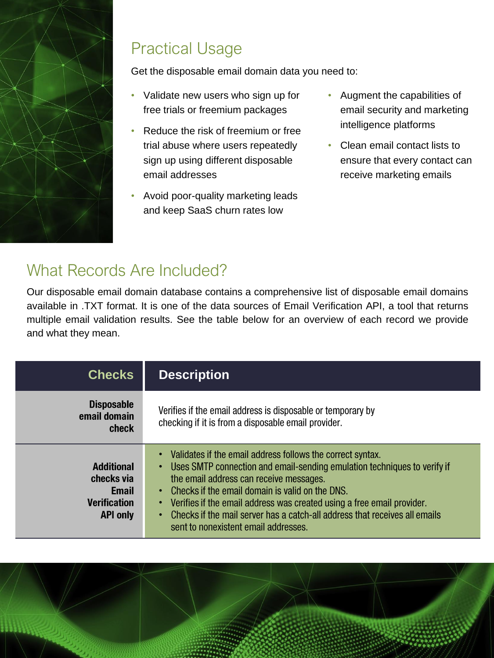

## Practical Usage

Get the disposable email domain data you need to:

- Validate new users who sign up for free trials or freemium packages
- Reduce the risk of freemium or free trial abuse where users repeatedly sign up using different disposable email addresses
- Avoid poor-quality marketing leads and keep SaaS churn rates low
- Augment the capabilities of email security and marketing intelligence platforms
- Clean email contact lists to ensure that every contact can receive marketing emails

### What Records Are Included?

Our disposable email domain database contains a comprehensive list of disposable email domains available in .TXT format. It is one of the data sources of Email Verification API, a tool that returns multiple email validation results. See the table below for an overview of each record we provide and what they mean.

| <b>Checks</b>                                                                             | <b>Description</b>                                                                                                                                                                                                                                                                                                                                                                                                                             |
|-------------------------------------------------------------------------------------------|------------------------------------------------------------------------------------------------------------------------------------------------------------------------------------------------------------------------------------------------------------------------------------------------------------------------------------------------------------------------------------------------------------------------------------------------|
| <b>Disposable</b><br>email domain<br>check                                                | Verifies if the email address is disposable or temporary by<br>checking if it is from a disposable email provider.                                                                                                                                                                                                                                                                                                                             |
| <b>Additional</b><br>checks via<br><b>Email</b><br><b>Verification</b><br><b>API only</b> | • Validates if the email address follows the correct syntax.<br>• Uses SMTP connection and email-sending emulation techniques to verify if<br>the email address can receive messages.<br>• Checks if the email domain is valid on the DNS.<br>• Verifies if the email address was created using a free email provider.<br>• Checks if the mail server has a catch-all address that receives all emails<br>sent to nonexistent email addresses. |